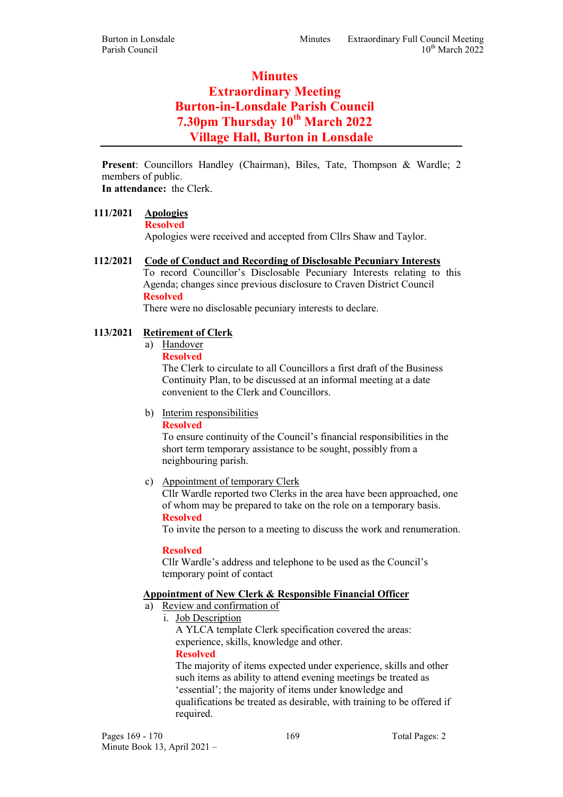# **Minutes** Extraordinary Meeting Burton-in-Lonsdale Parish Council 7.30pm Thursday 10<sup>th</sup> March 2022 Village Hall, Burton in Lonsdale

Present: Councillors Handley (Chairman), Biles, Tate, Thompson & Wardle; 2 members of public. In attendance: the Clerk.

111/2021 Apologies

Resolved

Apologies were received and accepted from Cllrs Shaw and Taylor.

## 112/2021 Code of Conduct and Recording of Disclosable Pecuniary Interests

To record Councillor's Disclosable Pecuniary Interests relating to this Agenda; changes since previous disclosure to Craven District Council Resolved

There were no disclosable pecuniary interests to declare.

## 113/2021 Retirement of Clerk

- a) Handover
	- Resolved

The Clerk to circulate to all Councillors a first draft of the Business Continuity Plan, to be discussed at an informal meeting at a date convenient to the Clerk and Councillors.

b) Interim responsibilities

Resolved

To ensure continuity of the Council's financial responsibilities in the short term temporary assistance to be sought, possibly from a neighbouring parish.

c) Appointment of temporary Clerk

Cllr Wardle reported two Clerks in the area have been approached, one of whom may be prepared to take on the role on a temporary basis. Resolved

To invite the person to a meeting to discuss the work and renumeration.

#### Resolved

Cllr Wardle's address and telephone to be used as the Council's temporary point of contact

## Appointment of New Clerk & Responsible Financial Officer

- a) Review and confirmation of
	- i. Job Description

A YLCA template Clerk specification covered the areas: experience, skills, knowledge and other. Resolved

The majority of items expected under experience, skills and other such items as ability to attend evening meetings be treated as 'essential'; the majority of items under knowledge and qualifications be treated as desirable, with training to be offered if required.